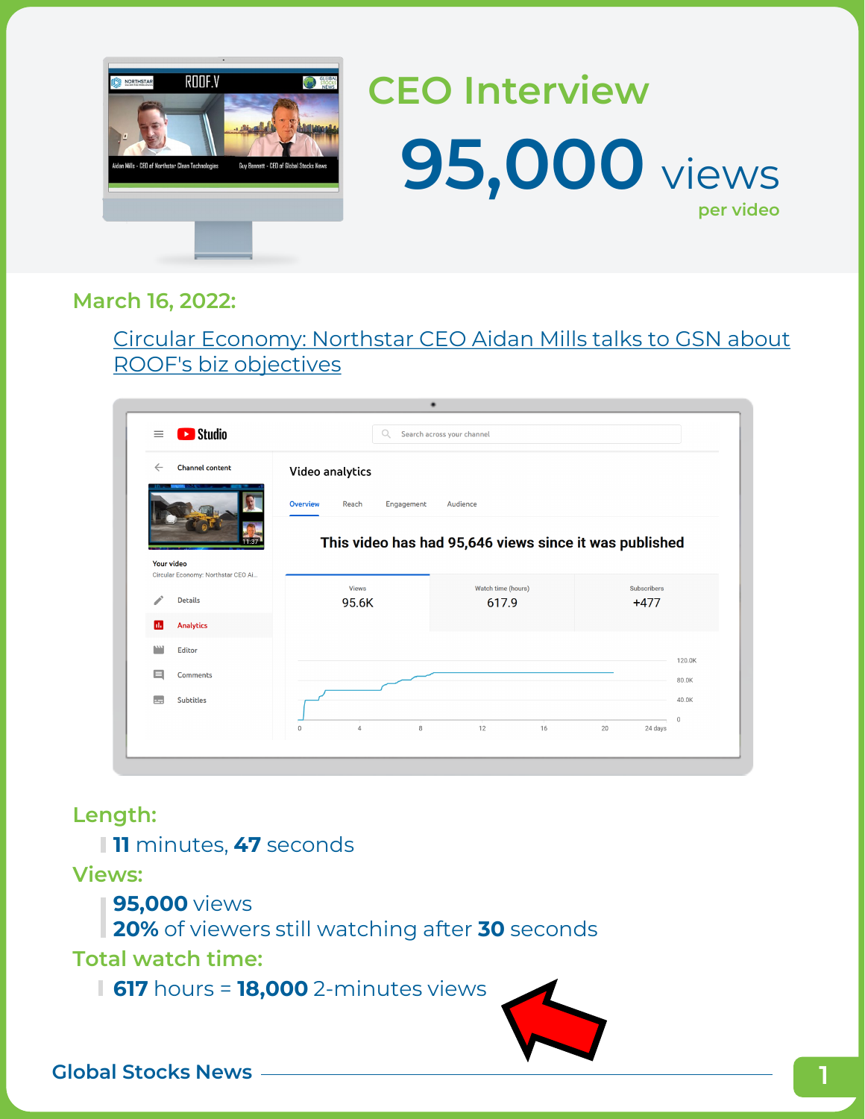

### **CEO Interview 95,000** views **per video**

#### **March 16, 2022:**

[Circular Economy: Northstar CEO Aidan Mills talks to GSN about](https://youtu.be/yhFgiUr_uWk)  ROOF's biz objectives

| <b>Ex</b> Studio<br>$\equiv$                     | Q.                                     | Search across your channel                             |                              |             |
|--------------------------------------------------|----------------------------------------|--------------------------------------------------------|------------------------------|-------------|
| <b>Channel content</b><br>$\leftarrow$           | Video analytics                        |                                                        |                              |             |
|                                                  | <b>Overview</b><br>Reach<br>Engagement | Audience                                               |                              |             |
|                                                  |                                        | This video has had 95,646 views since it was published |                              |             |
| Your video<br>Circular Economy: Northstar CEO Ai |                                        |                                                        |                              |             |
| <b>Details</b>                                   | <b>Views</b><br>95.6K                  | Watch time (hours)<br>617.9                            | <b>Subscribers</b><br>$+477$ |             |
| <b>Analytics</b><br>ш                            |                                        |                                                        |                              |             |
| <b>Editor</b>                                    |                                        |                                                        |                              | 120.0K      |
| ⊟<br><b>Comments</b>                             |                                        |                                                        |                              | 80.0K       |
| <b>Subtitles</b>                                 |                                        |                                                        |                              | 40.0K       |
|                                                  |                                        | 12<br>16                                               | 20<br>24 days                | $\mathbb O$ |

### **Length:**

**11** minutes, **47** seconds

**Views:**

**95,000** views

**20%** of viewers still watching after **30** seconds

**Total watch time:**

**617** hours = **18,000** 2-minutes views

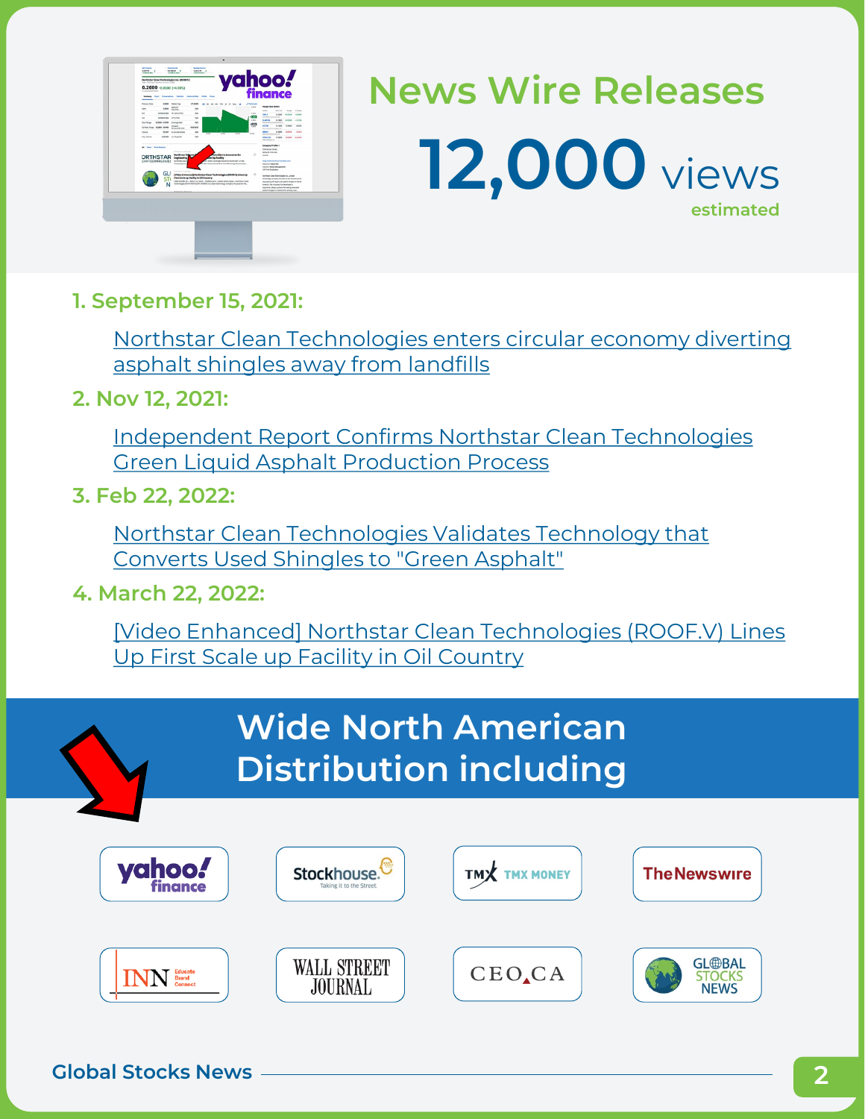| <b>TONY - TONY Road Time Price, Common In CAS</b> |                             | Northstar Clean Technologies Inc. (ROOFV)                                            |                                                 |                                                                                                                                                               |                               | <b>hoo!</b><br>finance                                                                                                                  |                                           |              |
|---------------------------------------------------|-----------------------------|--------------------------------------------------------------------------------------|-------------------------------------------------|---------------------------------------------------------------------------------------------------------------------------------------------------------------|-------------------------------|-----------------------------------------------------------------------------------------------------------------------------------------|-------------------------------------------|--------------|
| 0.2600 +0.0100 (+4.00%)<br>In your Kinstewage     |                             |                                                                                      |                                                 |                                                                                                                                                               |                               |                                                                                                                                         |                                           |              |
|                                                   |                             |                                                                                      | Senare that Emergins locks Hannahay Polla Fran- |                                                                                                                                                               |                               |                                                                                                                                         |                                           |              |
|                                                   |                             |                                                                                      |                                                 |                                                                                                                                                               |                               |                                                                                                                                         |                                           |              |
| <b><i><u>Parama Circuit</u></i></b>               | A-Pierre                    | <b>Model Car</b><br><b>Brigadie</b>                                                  | 21 Sales                                        | 10 50 24 64 770 27 27 Nov 46                                                                                                                                  | <b><i>Address</i></b><br>sana | People Kins Wollch                                                                                                                      |                                           |              |
| <b>Seat</b>                                       | 6,000                       | Marchind                                                                             | Nh                                              |                                                                                                                                                               |                               | turnal.                                                                                                                                 | <b>State</b><br><b>MAPRI</b>              | <b>STAGE</b> |
| bot.                                              | 9.2004 NB N Sele (Tal)      |                                                                                      | $7$                                             |                                                                                                                                                               | <b>B. Port</b><br>œ           | <b>CALL V</b><br>Cars Work behind they                                                                                                  | <b>ATLANTA</b><br>A MAIL                  | 15,99%       |
| ha.<br>Dah Kelay                                  | 0.2010 + 10.16<br>1200-1200 | <b>USCOM</b><br><b>Earnings Eate</b>                                                 | Nh.<br>NN.                                      |                                                                                                                                                               | a jezik                       | <b>CLAPTULE</b><br>Fasterd Build                                                                                                        | 6,5300<br>10,2180<br><b>Bulleting Sec</b> | 13,595       |
| 52 Hot-Tony 8200-55400                            |                             | fatured<br><b>Bustered &amp; Yard</b>                                                | <b>NAZIVE</b>                                   |                                                                                                                                                               | œ<br>$\overline{11}$          | <b>ACTOR</b>                                                                                                                            | 4,708<br>6,0000                           | 6.00%        |
| <b>Volume</b>                                     | \$7,557                     | <b>G-invitered Early</b>                                                             | NN <sub>N</sub>                                 |                                                                                                                                                               |                               | Metellism Technologies as<br><b>MAN A</b>                                                                                               | 6,000 6,010                               | $-4.5T5$     |
| <b>Ark Volume</b>                                 |                             | 69.39 Information                                                                    | 10.68<br>na.                                    | 10.74<br><b>SOM</b>                                                                                                                                           | <b>ALCOHOL</b>                | <b>MA Arres Norma 14</b><br><b>BOARD FRE</b>                                                                                            | 62000 4.0300 -13.64%                      |              |
|                                                   |                             |                                                                                      |                                                 |                                                                                                                                                               |                               | Fork Hollings, Inc.                                                                                                                     |                                           |              |
| <b><i>DRTHSTAR</i></b><br><b>LAN TECHNOLOGIES</b> |                             | PRODUCTS ENGINEER<br>Northstar Seleres<br><b>Engineering</b><br><b>Northear East</b> |                                                 | forn Alberta Innovates for<br><b>Secondary</b><br>21.0001030008.000010%omm/orme                                                                               | w                             | <b>Next Americans</b><br>Delta BCYMS 2GB<br>Grass<br>Mila, Zweening Palay Dep Refugee                                                   |                                           |              |
|                                                   | GL                          | <b><i><u>Versey]ins</u></i></b><br><b>Revenue Co. P. Boot Auto</b>                   |                                                 | a that is has executed an investment agreement (the                                                                                                           |                               | Sezurich Industriale<br>Industry Made Management<br>Full Firm Engineers                                                                 |                                           |              |
|                                                   | ST                          |                                                                                      | First Scale up Facility in Oil Country          | [Video Enhanced] Northstar Clean Technologies (ROOK)/) Lines Up<br>VANCOUVER, AC 4 March 23, 2022 - The Newslette - General Institute Award - Newtheler Class | ۵                             | torney Cast Schoolers in a don<br>sehrulop company focuses on the secondy and                                                           |                                           |              |
|                                                   | N                           |                                                                                      |                                                 | Technologies (TESY BODY)/ETC RODOCU is a degree technology company fluoupal on the                                                                            |                               | resumering of single use audials drawing in North<br>Analiza The company has developed a<br>anaristics delay assess for taking designed |                                           |              |
|                                                   |                             |                                                                                      |                                                 |                                                                                                                                                               |                               | portion standard or destruct for already man-                                                                                           |                                           |              |

# **News Wire Releases 12,000** views **estimated**

**1. September 15, 2021:**

[Northstar Clean Technologies enters circular economy diverting](https://finance.yahoo.com/news/northstar-clean-technologies-enters-circular-090000207.html) asphalt shingles away from landfills

**2. Nov 12, 2021:**

[Independent Report Confirms Northstar Clean Technologies](https://finance.yahoo.com/news/independent-report-confirms-northstar-clean-080000257.html) Green Liquid Asphalt Production Process

**3. Feb 22, 2022:**

Northstar Clean Technologies Validates Technology that Converts Used Shingles to "Green Asphalt"

**4. March 22, 2022:**

[Video Enhanced] Northstar Clean Technologies (ROOF.V) Lines Up First Scale up Facility in Oil Country

|               | <b>Wide North American</b><br><b>Distribution including</b> |                           |                     |
|---------------|-------------------------------------------------------------|---------------------------|---------------------|
| <b>vahoo!</b> | <b>Stock</b><br>Taking it to the Str                        | <b>TMX</b>                | <b>The Newswire</b> |
|               | WALL STREET<br><b>JOURNAL</b>                               | <b>CEO</b> <sub></sub> CA | <b>GL</b> @BAL      |